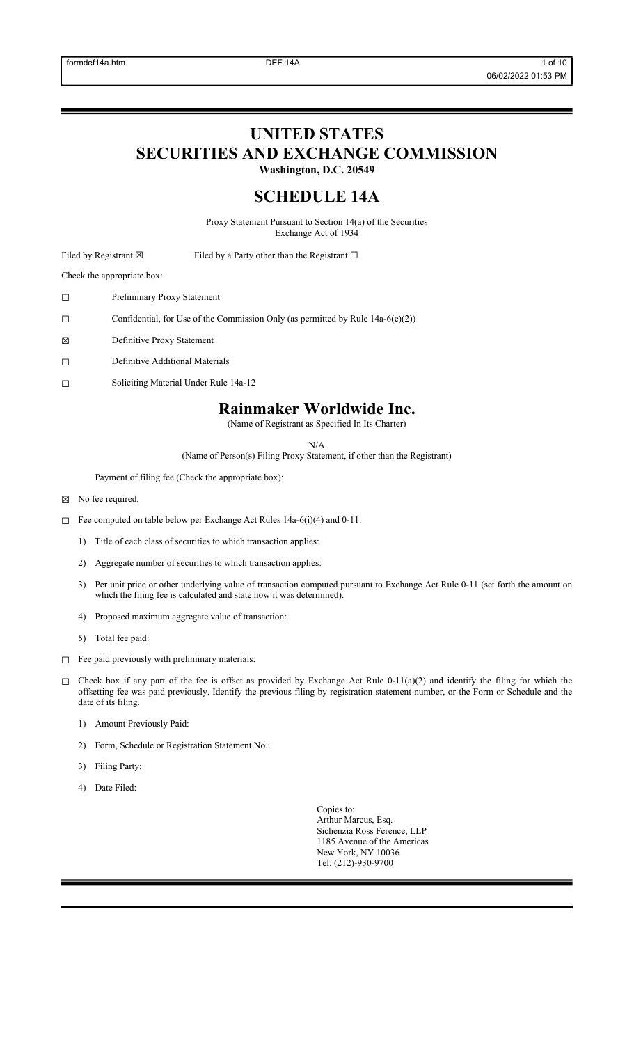# **UNITED STATES**

**SECURITIES AND EXCHANGE COMMISSION**

**Washington, D.C. 20549**

## **SCHEDULE 14A**

Proxy Statement Pursuant to Section 14(a) of the Securities Exchange Act of 1934

Filed by Registrant ⊠ Filed by a Party other than the Registrant □

Check the appropriate box:

- ☐ Preliminary Proxy Statement
- ☐ Confidential, for Use of the Commission Only (as permitted by Rule 14a-6(e)(2))
- ☒ Definitive Proxy Statement
- ☐ Definitive Additional Materials
- ☐ Soliciting Material Under Rule 14a-12

## **Rainmaker Worldwide Inc.**

(Name of Registrant as Specified In Its Charter)

N/A

(Name of Person(s) Filing Proxy Statement, if other than the Registrant)

Payment of filing fee (Check the appropriate box):

- ☒ No fee required.
- ☐ Fee computed on table below per Exchange Act Rules 14a-6(i)(4) and 0-11.
	- 1) Title of each class of securities to which transaction applies:
	- 2) Aggregate number of securities to which transaction applies:
	- 3) Per unit price or other underlying value of transaction computed pursuant to Exchange Act Rule 0-11 (set forth the amount on which the filing fee is calculated and state how it was determined):
	- 4) Proposed maximum aggregate value of transaction:
	- 5) Total fee paid:
- ☐ Fee paid previously with preliminary materials:
- $\Box$  Check box if any part of the fee is offset as provided by Exchange Act Rule 0-11(a)(2) and identify the filing for which the offsetting fee was paid previously. Identify the previous filing by registration statement number, or the Form or Schedule and the date of its filing.
	- 1) Amount Previously Paid:
	- 2) Form, Schedule or Registration Statement No.:
	- 3) Filing Party:
	- 4) Date Filed:

Copies to: Arthur Marcus, Esq. Sichenzia Ross Ference, LLP 1185 Avenue of the Americas New York, NY 10036 Tel: (212)-930-9700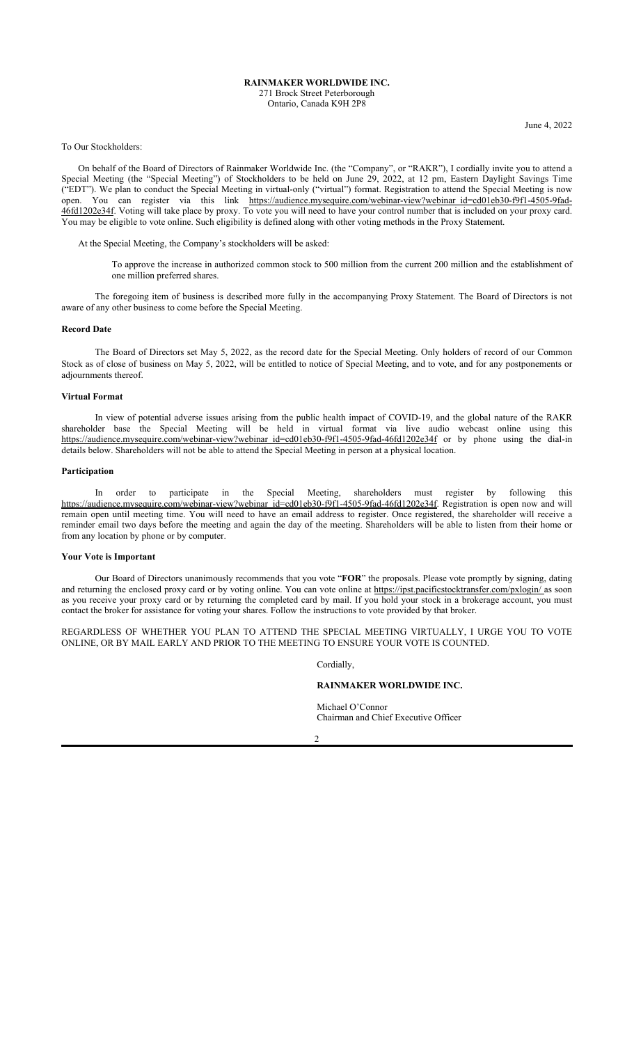#### **RAINMAKER WORLDWIDE INC.** 271 Brock Street Peterborough Ontario, Canada K9H 2P8

June 4, 2022

#### To Our Stockholders:

On behalf of the Board of Directors of Rainmaker Worldwide Inc. (the "Company", or "RAKR"), I cordially invite you to attend a Special Meeting (the "Special Meeting") of Stockholders to be held on June 29, 2022, at 12 pm, Eastern Daylight Savings Time ("EDT"). We plan to conduct the Special Meeting in virtual-only ("virtual") format. Registration to attend the Special Meeting is now open. You can register via this link https://audience.mysequire.com/webinar-view?webinar\_id=cd01eb30-f9f1-4505-9fad-46fd1202e34f. Voting will take place by proxy. To vote you will need to have your control number that is included on your proxy card. You may be eligible to vote online. Such eligibility is defined along with other voting methods in the Proxy Statement.

At the Special Meeting, the Company's stockholders will be asked:

To approve the increase in authorized common stock to 500 million from the current 200 million and the establishment of one million preferred shares.

The foregoing item of business is described more fully in the accompanying Proxy Statement. The Board of Directors is not aware of any other business to come before the Special Meeting.

#### **Record Date**

The Board of Directors set May 5, 2022, as the record date for the Special Meeting. Only holders of record of our Common Stock as of close of business on May 5, 2022, will be entitled to notice of Special Meeting, and to vote, and for any postponements or adjournments thereof.

#### **Virtual Format**

In view of potential adverse issues arising from the public health impact of COVID-19, and the global nature of the RAKR shareholder base the Special Meeting will be held in virtual format via live audio webcast online using this https://audience.mysequire.com/webinar-view?webinar\_id=cd01eb30-f9f1-4505-9fad-46fd1202e34f or by phone using the dial-in details below. Shareholders will not be able to attend the Special Meeting in person at a physical location.

#### **Participation**

In order to participate in the Special Meeting, shareholders must register by following this https://audience.mysequire.com/webinar-view?webinar\_id=cd01eb30-f9f1-4505-9fad-46fd1202e34f. Registration is open now and will remain open until meeting time. You will need to have an email address to register. Once registered, the shareholder will receive a reminder email two days before the meeting and again the day of the meeting. Shareholders will be able to listen from their home or from any location by phone or by computer.

#### **Your Vote is Important**

Our Board of Directors unanimously recommends that you vote "**FOR**" the proposals. Please vote promptly by signing, dating and returning the enclosed proxy card or by voting online. You can vote online at https://ipst.pacificstocktransfer.com/pxlogin/ as soon as you receive your proxy card or by returning the completed card by mail. If you hold your stock in a brokerage account, you must contact the broker for assistance for voting your shares. Follow the instructions to vote provided by that broker.

REGARDLESS OF WHETHER YOU PLAN TO ATTEND THE SPECIAL MEETING VIRTUALLY, I URGE YOU TO VOTE ONLINE, OR BY MAIL EARLY AND PRIOR TO THE MEETING TO ENSURE YOUR VOTE IS COUNTED.

Cordially,

#### **RAINMAKER WORLDWIDE INC.**

Michael O'Connor Chairman and Chief Executive Officer

 $\mathfrak{D}$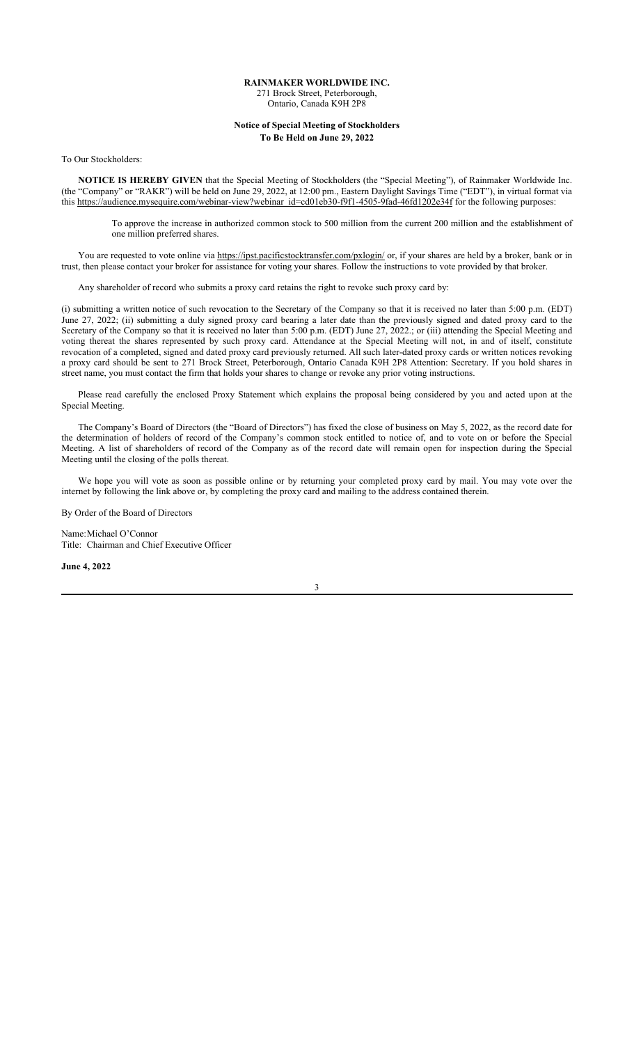#### **RAINMAKER WORLDWIDE INC.** 271 Brock Street, Peterborough, Ontario, Canada K9H 2P8

## **Notice of Special Meeting of Stockholders**

**To Be Held on June 29, 2022**

To Our Stockholders:

**NOTICE IS HEREBY GIVEN** that the Special Meeting of Stockholders (the "Special Meeting"), of Rainmaker Worldwide Inc. (the "Company" or "RAKR") will be held on June 29, 2022, at 12:00 pm., Eastern Daylight Savings Time ("EDT"), in virtual format via this https://audience.mysequire.com/webinar-view?webinar\_id=cd01eb30-f9f1-4505-9fad-46fd1202e34f for the following purposes:

To approve the increase in authorized common stock to 500 million from the current 200 million and the establishment of one million preferred shares.

You are requested to vote online via https://ipst.pacificstocktransfer.com/pxlogin/ or, if your shares are held by a broker, bank or in trust, then please contact your broker for assistance for voting your shares. Follow the instructions to vote provided by that broker.

Any shareholder of record who submits a proxy card retains the right to revoke such proxy card by:

(i) submitting a written notice of such revocation to the Secretary of the Company so that it is received no later than 5:00 p.m. (EDT) June 27, 2022; (ii) submitting a duly signed proxy card bearing a later date than the previously signed and dated proxy card to the Secretary of the Company so that it is received no later than 5:00 p.m. (EDT) June 27, 2022.; or (iii) attending the Special Meeting and voting thereat the shares represented by such proxy card. Attendance at the Special Meeting will not, in and of itself, constitute revocation of a completed, signed and dated proxy card previously returned. All such later-dated proxy cards or written notices revoking a proxy card should be sent to 271 Brock Street, Peterborough, Ontario Canada K9H 2P8 Attention: Secretary. If you hold shares in street name, you must contact the firm that holds your shares to change or revoke any prior voting instructions.

Please read carefully the enclosed Proxy Statement which explains the proposal being considered by you and acted upon at the Special Meeting.

The Company's Board of Directors (the "Board of Directors") has fixed the close of business on May 5, 2022, as the record date for the determination of holders of record of the Company's common stock entitled to notice of, and to vote on or before the Special Meeting. A list of shareholders of record of the Company as of the record date will remain open for inspection during the Special Meeting until the closing of the polls thereat.

We hope you will vote as soon as possible online or by returning your completed proxy card by mail. You may vote over the internet by following the link above or, by completing the proxy card and mailing to the address contained therein.

By Order of the Board of Directors

Name:Michael O'Connor Title: Chairman and Chief Executive Officer

**June 4, 2022**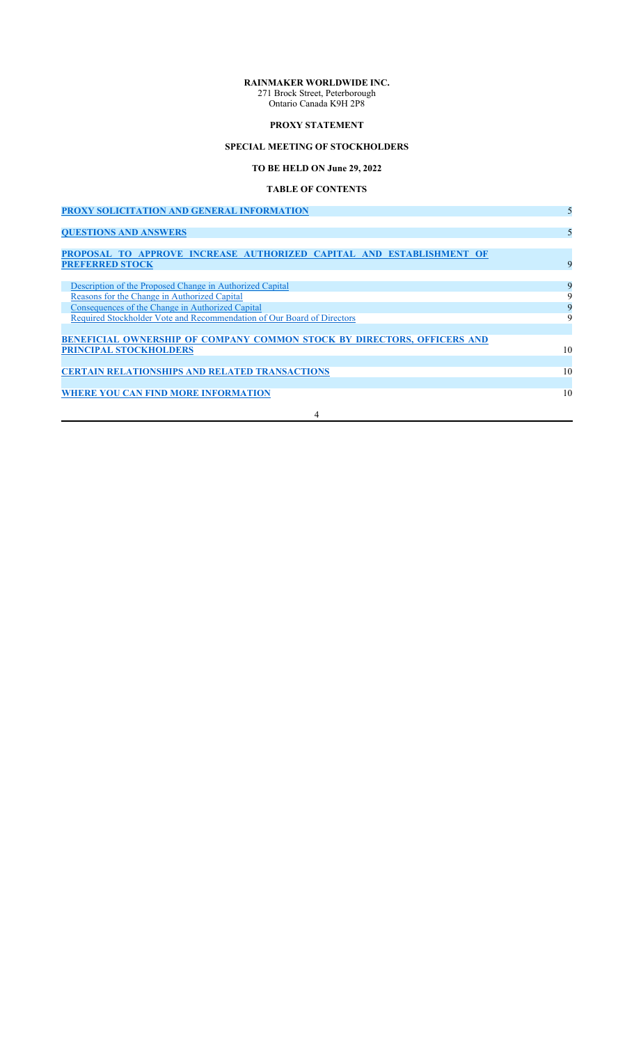## **RAINMAKER WORLDWIDE INC.**

271 Brock Street, Peterborough Ontario Canada K9H 2P8

## **PROXY STATEMENT**

## **SPECIAL MEETING OF STOCKHOLDERS**

**TO BE HELD ON June 29, 2022**

## **TABLE OF CONTENTS**

| PROXY SOLICITATION AND GENERAL INFORMATION                                                                                 | 5        |
|----------------------------------------------------------------------------------------------------------------------------|----------|
| <b>QUESTIONS AND ANSWERS</b>                                                                                               | 5        |
| PROPOSAL TO APPROVE INCREASE AUTHORIZED CAPITAL AND ESTABLISHMENT OF<br><b>PREFERRED STOCK</b>                             | 9        |
| Description of the Proposed Change in Authorized Capital<br>Reasons for the Change in Authorized Capital                   | 9<br>9   |
| Consequences of the Change in Authorized Capital<br>Required Stockholder Vote and Recommendation of Our Board of Directors | 9<br>9   |
| <b>BENEFICIAL OWNERSHIP OF COMPANY COMMON STOCK BY DIRECTORS, OFFICERS AND</b>                                             |          |
| <b>PRINCIPAL STOCKHOLDERS</b>                                                                                              | 10       |
| <b>CERTAIN RELATIONSHIPS AND RELATED TRANSACTIONS</b><br><b>WHERE YOU CAN FIND MORE INFORMATION</b>                        | 10<br>10 |
| 4                                                                                                                          |          |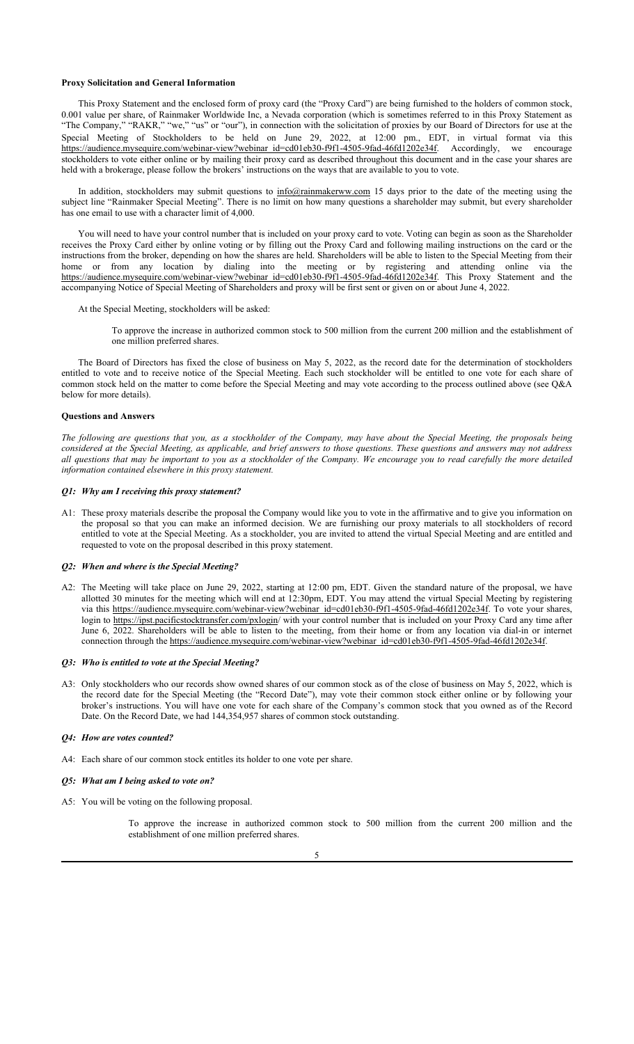#### **Proxy Solicitation and General Information**

This Proxy Statement and the enclosed form of proxy card (the "Proxy Card") are being furnished to the holders of common stock, 0.001 value per share, of Rainmaker Worldwide Inc, a Nevada corporation (which is sometimes referred to in this Proxy Statement as "The Company," "RAKR," "we," "us" or "our"), in connection with the solicitation of proxies by our Board of Directors for use at the Special Meeting of Stockholders to be held on June 29, 2022, at 12:00 pm., EDT, in virtual format via this https://audience.mysequire.com/webinar-view?webinar\_id=cd01eb30-f9f1-4505-9fad-46fd1202e34f. Accordingly, we encourage stockholders to vote either online or by mailing their proxy card as described throughout this document and in the case your shares are held with a brokerage, please follow the brokers' instructions on the ways that are available to you to vote.

In addition, stockholders may submit questions to info@rainmakerww.com 15 days prior to the date of the meeting using the subject line "Rainmaker Special Meeting". There is no limit on how many questions a shareholder may submit, but every shareholder has one email to use with a character limit of 4,000.

You will need to have your control number that is included on your proxy card to vote. Voting can begin as soon as the Shareholder receives the Proxy Card either by online voting or by filling out the Proxy Card and following mailing instructions on the card or the instructions from the broker, depending on how the shares are held. Shareholders will be able to listen to the Special Meeting from their home or from any location by dialing into the meeting or by registering and attending online via the https://audience.mysequire.com/webinar-view?webinar\_id=cd01eb30-f9f1-4505-9fad-46fd1202e34f. This Proxy Statement and the accompanying Notice of Special Meeting of Shareholders and proxy will be first sent or given on or about June 4, 2022.

At the Special Meeting, stockholders will be asked:

To approve the increase in authorized common stock to 500 million from the current 200 million and the establishment of one million preferred shares.

The Board of Directors has fixed the close of business on May 5, 2022, as the record date for the determination of stockholders entitled to vote and to receive notice of the Special Meeting. Each such stockholder will be entitled to one vote for each share of common stock held on the matter to come before the Special Meeting and may vote according to the process outlined above (see Q&A below for more details).

#### **Questions and Answers**

*The following are questions that you, as a stockholder of the Company, may have about the Special Meeting, the proposals being considered at the Special Meeting, as applicable, and brief answers to those questions. These questions and answers may not address all questions that may be important to you as a stockholder of the Company. We encourage you to read carefully the more detailed information contained elsewhere in this proxy statement.*

#### *Q1: Why am I receiving this proxy statement?*

A1: These proxy materials describe the proposal the Company would like you to vote in the affirmative and to give you information on the proposal so that you can make an informed decision. We are furnishing our proxy materials to all stockholders of record entitled to vote at the Special Meeting. As a stockholder, you are invited to attend the virtual Special Meeting and are entitled and requested to vote on the proposal described in this proxy statement.

#### *Q2: When and where is the Special Meeting?*

A2: The Meeting will take place on June 29, 2022, starting at 12:00 pm, EDT. Given the standard nature of the proposal, we have allotted 30 minutes for the meeting which will end at 12:30pm, EDT. You may attend the virtual Special Meeting by registering via this https://audience.mysequire.com/webinar-view?webinar\_id=cd01eb30-f9f1-4505-9fad-46fd1202e34f. To vote your shares, login to https://ipst.pacificstocktransfer.com/pxlogin/ with your control number that is included on your Proxy Card any time after June 6, 2022. Shareholders will be able to listen to the meeting, from their home or from any location via dial-in or internet connection through the https://audience.mysequire.com/webinar-view?webinar\_id=cd01eb30-f9f1-4505-9fad-46fd1202e34f.

#### *Q3: Who is entitled to vote at the Special Meeting?*

A3: Only stockholders who our records show owned shares of our common stock as of the close of business on May 5, 2022, which is the record date for the Special Meeting (the "Record Date"), may vote their common stock either online or by following your broker's instructions. You will have one vote for each share of the Company's common stock that you owned as of the Record Date. On the Record Date, we had 144,354,957 shares of common stock outstanding.

#### *Q4: How are votes counted?*

- A4: Each share of our common stock entitles its holder to one vote per share.
- *Q5: What am I being asked to vote on?*
- A5: You will be voting on the following proposal.

To approve the increase in authorized common stock to 500 million from the current 200 million and the establishment of one million preferred shares.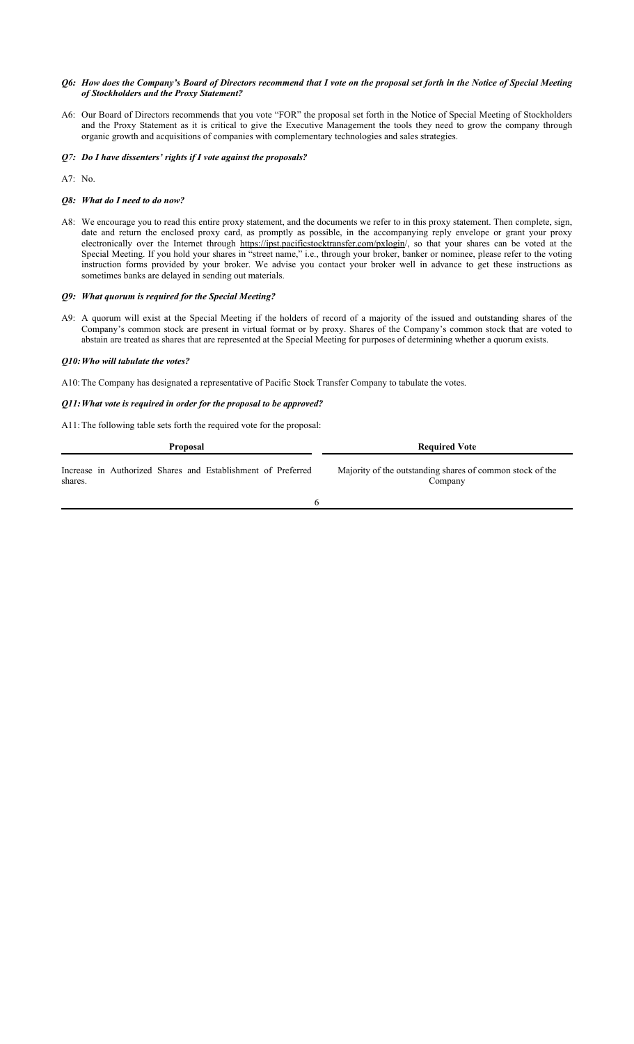#### *Q6: How does the Company's Board of Directors recommend that I vote on the proposal set forth in the Notice of Special Meeting of Stockholders and the Proxy Statement?*

- A6: Our Board of Directors recommends that you vote "FOR" the proposal set forth in the Notice of Special Meeting of Stockholders and the Proxy Statement as it is critical to give the Executive Management the tools they need to grow the company through organic growth and acquisitions of companies with complementary technologies and sales strategies.
- *Q7: Do I have dissenters' rights if I vote against the proposals?*
- A7: No.

#### *Q8: What do I need to do now?*

A8: We encourage you to read this entire proxy statement, and the documents we refer to in this proxy statement. Then complete, sign, date and return the enclosed proxy card, as promptly as possible, in the accompanying reply envelope or grant your proxy electronically over the Internet through https://ipst.pacificstocktransfer.com/pxlogin/, so that your shares can be voted at the Special Meeting. If you hold your shares in "street name," i.e., through your broker, banker or nominee, please refer to the voting instruction forms provided by your broker. We advise you contact your broker well in advance to get these instructions as sometimes banks are delayed in sending out materials.

#### *Q9: What quorum is required for the Special Meeting?*

A9: A quorum will exist at the Special Meeting if the holders of record of a majority of the issued and outstanding shares of the Company's common stock are present in virtual format or by proxy. Shares of the Company's common stock that are voted to abstain are treated as shares that are represented at the Special Meeting for purposes of determining whether a quorum exists.

#### *Q10:Who will tabulate the votes?*

A10: The Company has designated a representative of Pacific Stock Transfer Company to tabulate the votes.

#### *Q11:What vote is required in order for the proposal to be approved?*

A11: The following table sets forth the required vote for the proposal:

| <b>Proposal</b>                                              | <b>Required Vote</b>                                      |  |  |
|--------------------------------------------------------------|-----------------------------------------------------------|--|--|
| Increase in Authorized Shares and Establishment of Preferred | Majority of the outstanding shares of common stock of the |  |  |
| shares.                                                      | Company                                                   |  |  |

6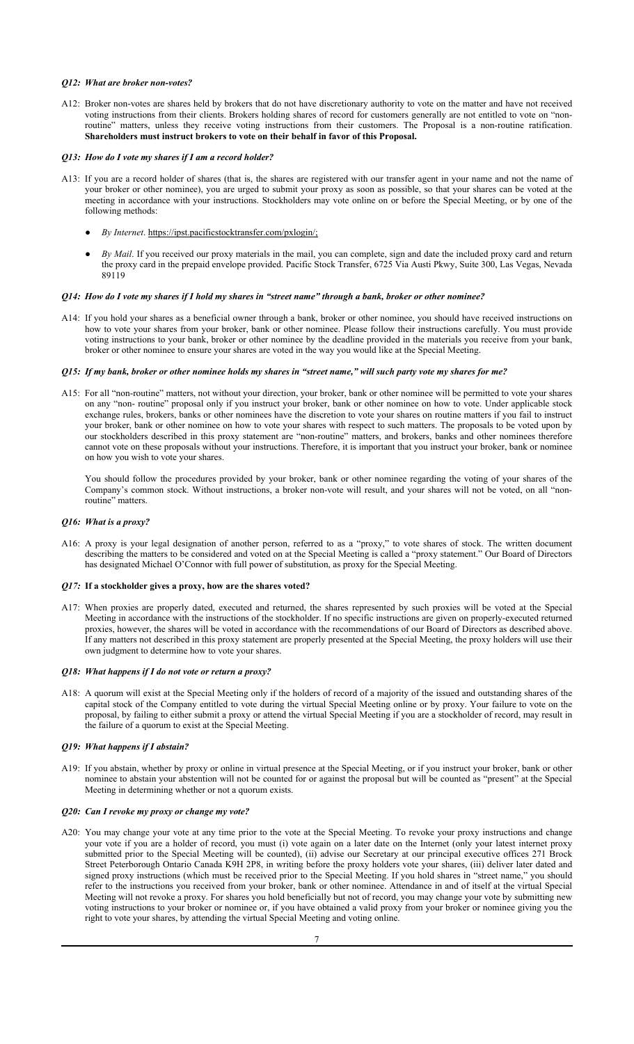#### *Q12: What are broker non-votes?*

- A12: Broker non-votes are shares held by brokers that do not have discretionary authority to vote on the matter and have not received voting instructions from their clients. Brokers holding shares of record for customers generally are not entitled to vote on "nonroutine" matters, unless they receive voting instructions from their customers. The Proposal is a non-routine ratification. **Shareholders must instruct brokers to vote on their behalf in favor of this Proposal.**
- *Q13: How do I vote my shares if I am a record holder?*
- A13: If you are a record holder of shares (that is, the shares are registered with our transfer agent in your name and not the name of your broker or other nominee), you are urged to submit your proxy as soon as possible, so that your shares can be voted at the meeting in accordance with your instructions. Stockholders may vote online on or before the Special Meeting, or by one of the following methods:
	- *By Internet*. https://ipst.pacificstocktransfer.com/pxlogin/;
	- *By Mail*. If you received our proxy materials in the mail, you can complete, sign and date the included proxy card and return the proxy card in the prepaid envelope provided. Pacific Stock Transfer, 6725 Via Austi Pkwy, Suite 300, Las Vegas, Nevada 89119

#### *Q14: How do I vote my shares if I hold my shares in "street name" through a bank, broker or other nominee?*

A14: If you hold your shares as a beneficial owner through a bank, broker or other nominee, you should have received instructions on how to vote your shares from your broker, bank or other nominee. Please follow their instructions carefully. You must provide voting instructions to your bank, broker or other nominee by the deadline provided in the materials you receive from your bank, broker or other nominee to ensure your shares are voted in the way you would like at the Special Meeting.

#### *Q15: If my bank, broker or other nominee holds my shares in "street name," will such party vote my shares for me?*

A15: For all "non-routine" matters, not without your direction, your broker, bank or other nominee will be permitted to vote your shares on any "non- routine" proposal only if you instruct your broker, bank or other nominee on how to vote. Under applicable stock exchange rules, brokers, banks or other nominees have the discretion to vote your shares on routine matters if you fail to instruct your broker, bank or other nominee on how to vote your shares with respect to such matters. The proposals to be voted upon by our stockholders described in this proxy statement are "non-routine" matters, and brokers, banks and other nominees therefore cannot vote on these proposals without your instructions. Therefore, it is important that you instruct your broker, bank or nominee on how you wish to vote your shares.

You should follow the procedures provided by your broker, bank or other nominee regarding the voting of your shares of the Company's common stock. Without instructions, a broker non-vote will result, and your shares will not be voted, on all "nonroutine" matters.

#### *Q16: What is a proxy?*

A16: A proxy is your legal designation of another person, referred to as a "proxy," to vote shares of stock. The written document describing the matters to be considered and voted on at the Special Meeting is called a "proxy statement." Our Board of Directors has designated Michael O'Connor with full power of substitution, as proxy for the Special Meeting.

#### *Q17:* **If a stockholder gives a proxy, how are the shares voted?**

A17: When proxies are properly dated, executed and returned, the shares represented by such proxies will be voted at the Special Meeting in accordance with the instructions of the stockholder. If no specific instructions are given on properly-executed returned proxies, however, the shares will be voted in accordance with the recommendations of our Board of Directors as described above. If any matters not described in this proxy statement are properly presented at the Special Meeting, the proxy holders will use their own judgment to determine how to vote your shares.

#### *Q18: What happens if I do not vote or return a proxy?*

A18: A quorum will exist at the Special Meeting only if the holders of record of a majority of the issued and outstanding shares of the capital stock of the Company entitled to vote during the virtual Special Meeting online or by proxy. Your failure to vote on the proposal, by failing to either submit a proxy or attend the virtual Special Meeting if you are a stockholder of record, may result in the failure of a quorum to exist at the Special Meeting.

#### *Q19: What happens if I abstain?*

A19: If you abstain, whether by proxy or online in virtual presence at the Special Meeting, or if you instruct your broker, bank or other nominee to abstain your abstention will not be counted for or against the proposal but will be counted as "present" at the Special Meeting in determining whether or not a quorum exists.

#### *Q20: Can I revoke my proxy or change my vote?*

A20: You may change your vote at any time prior to the vote at the Special Meeting. To revoke your proxy instructions and change your vote if you are a holder of record, you must (i) vote again on a later date on the Internet (only your latest internet proxy submitted prior to the Special Meeting will be counted), (ii) advise our Secretary at our principal executive offices 271 Brock Street Peterborough Ontario Canada K9H 2P8, in writing before the proxy holders vote your shares, (iii) deliver later dated and signed proxy instructions (which must be received prior to the Special Meeting. If you hold shares in "street name," you should refer to the instructions you received from your broker, bank or other nominee. Attendance in and of itself at the virtual Special Meeting will not revoke a proxy. For shares you hold beneficially but not of record, you may change your vote by submitting new voting instructions to your broker or nominee or, if you have obtained a valid proxy from your broker or nominee giving you the right to vote your shares, by attending the virtual Special Meeting and voting online.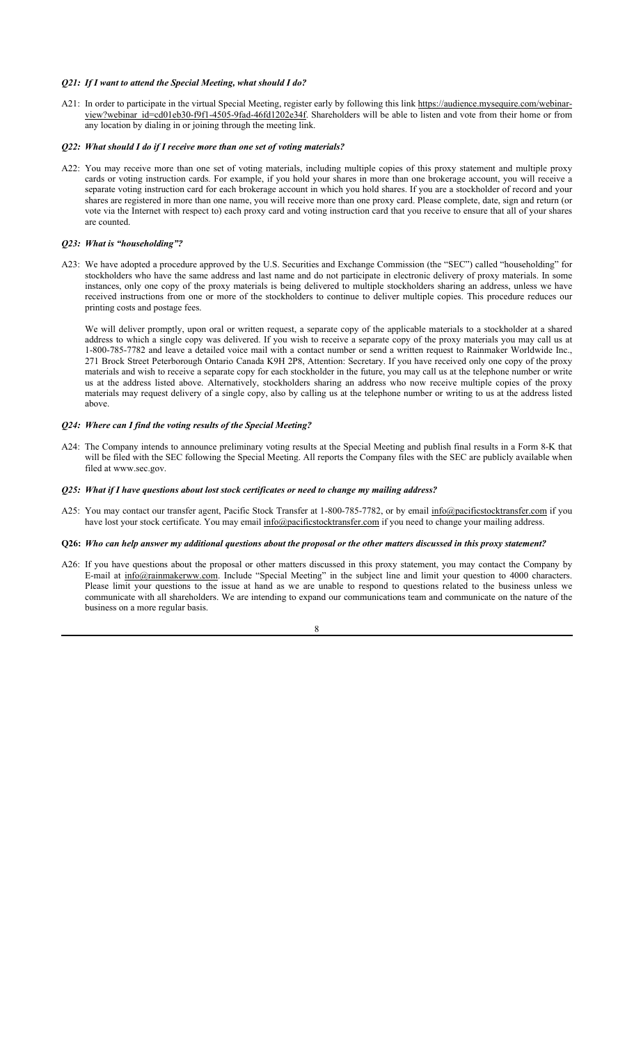#### *Q21: If I want to attend the Special Meeting, what should I do?*

A21: In order to participate in the virtual Special Meeting, register early by following this link https://audience.mysequire.com/webinarview?webinar\_id=cd01eb30-f9f1-4505-9fad-46fd1202e34f. Shareholders will be able to listen and vote from their home or from any location by dialing in or joining through the meeting link.

#### *Q22: What should I do if I receive more than one set of voting materials?*

A22: You may receive more than one set of voting materials, including multiple copies of this proxy statement and multiple proxy cards or voting instruction cards. For example, if you hold your shares in more than one brokerage account, you will receive a separate voting instruction card for each brokerage account in which you hold shares. If you are a stockholder of record and your shares are registered in more than one name, you will receive more than one proxy card. Please complete, date, sign and return (or vote via the Internet with respect to) each proxy card and voting instruction card that you receive to ensure that all of your shares are counted.

#### *Q23: What is "householding"?*

A23: We have adopted a procedure approved by the U.S. Securities and Exchange Commission (the "SEC") called "householding" for stockholders who have the same address and last name and do not participate in electronic delivery of proxy materials. In some instances, only one copy of the proxy materials is being delivered to multiple stockholders sharing an address, unless we have received instructions from one or more of the stockholders to continue to deliver multiple copies. This procedure reduces our printing costs and postage fees.

We will deliver promptly, upon oral or written request, a separate copy of the applicable materials to a stockholder at a shared address to which a single copy was delivered. If you wish to receive a separate copy of the proxy materials you may call us at 1-800-785-7782 and leave a detailed voice mail with a contact number or send a written request to Rainmaker Worldwide Inc., 271 Brock Street Peterborough Ontario Canada K9H 2P8, Attention: Secretary. If you have received only one copy of the proxy materials and wish to receive a separate copy for each stockholder in the future, you may call us at the telephone number or write us at the address listed above. Alternatively, stockholders sharing an address who now receive multiple copies of the proxy materials may request delivery of a single copy, also by calling us at the telephone number or writing to us at the address listed above.

#### *Q24: Where can I find the voting results of the Special Meeting?*

A24: The Company intends to announce preliminary voting results at the Special Meeting and publish final results in a Form 8-K that will be filed with the SEC following the Special Meeting. All reports the Company files with the SEC are publicly available when filed at www.sec.gov.

#### *Q25: What if I have questions about lost stock certificates or need to change my mailing address?*

A25: You may contact our transfer agent, Pacific Stock Transfer at 1-800-785-7782, or by email info@pacificstocktransfer.com if you have lost your stock certificate. You may email info@pacificstocktransfer.com if you need to change your mailing address.

#### **Q26:** *Who can help answer my additional questions about the proposal or the other matters discussed in this proxy statement?*

A26: If you have questions about the proposal or other matters discussed in this proxy statement, you may contact the Company by E-mail at info@rainmakerww.com. Include "Special Meeting" in the subject line and limit your question to 4000 characters. Please limit your questions to the issue at hand as we are unable to respond to questions related to the business unless we communicate with all shareholders. We are intending to expand our communications team and communicate on the nature of the business on a more regular basis.

8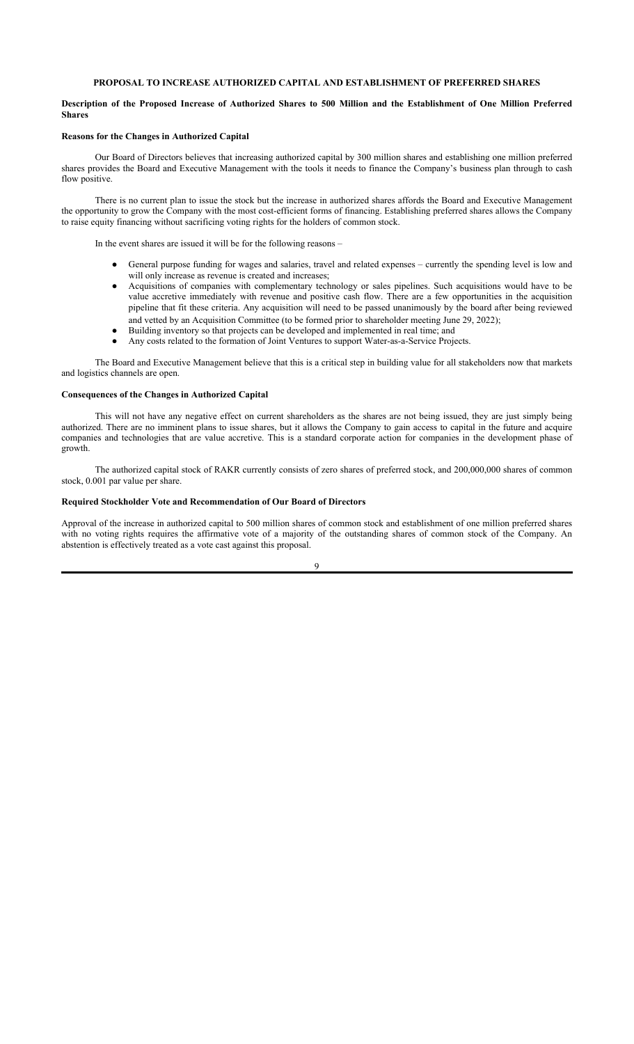#### **PROPOSAL TO INCREASE AUTHORIZED CAPITAL AND ESTABLISHMENT OF PREFERRED SHARES**

#### **Description of the Proposed Increase of Authorized Shares to 500 Million and the Establishment of One Million Preferred Shares**

#### **Reasons for the Changes in Authorized Capital**

Our Board of Directors believes that increasing authorized capital by 300 million shares and establishing one million preferred shares provides the Board and Executive Management with the tools it needs to finance the Company's business plan through to cash flow positive.

There is no current plan to issue the stock but the increase in authorized shares affords the Board and Executive Management the opportunity to grow the Company with the most cost-efficient forms of financing. Establishing preferred shares allows the Company to raise equity financing without sacrificing voting rights for the holders of common stock.

In the event shares are issued it will be for the following reasons –

- General purpose funding for wages and salaries, travel and related expenses currently the spending level is low and will only increase as revenue is created and increases;
- Acquisitions of companies with complementary technology or sales pipelines. Such acquisitions would have to be value accretive immediately with revenue and positive cash flow. There are a few opportunities in the acquisition pipeline that fit these criteria. Any acquisition will need to be passed unanimously by the board after being reviewed and vetted by an Acquisition Committee (to be formed prior to shareholder meeting June 29, 2022);
- Building inventory so that projects can be developed and implemented in real time; and
- Any costs related to the formation of Joint Ventures to support Water-as-a-Service Projects.

The Board and Executive Management believe that this is a critical step in building value for all stakeholders now that markets and logistics channels are open.

## **Consequences of the Changes in Authorized Capital**

This will not have any negative effect on current shareholders as the shares are not being issued, they are just simply being authorized. There are no imminent plans to issue shares, but it allows the Company to gain access to capital in the future and acquire companies and technologies that are value accretive. This is a standard corporate action for companies in the development phase of growth.

The authorized capital stock of RAKR currently consists of zero shares of preferred stock, and 200,000,000 shares of common stock, 0.001 par value per share.

#### **Required Stockholder Vote and Recommendation of Our Board of Directors**

Approval of the increase in authorized capital to 500 million shares of common stock and establishment of one million preferred shares with no voting rights requires the affirmative vote of a majority of the outstanding shares of common stock of the Company. An abstention is effectively treated as a vote cast against this proposal.